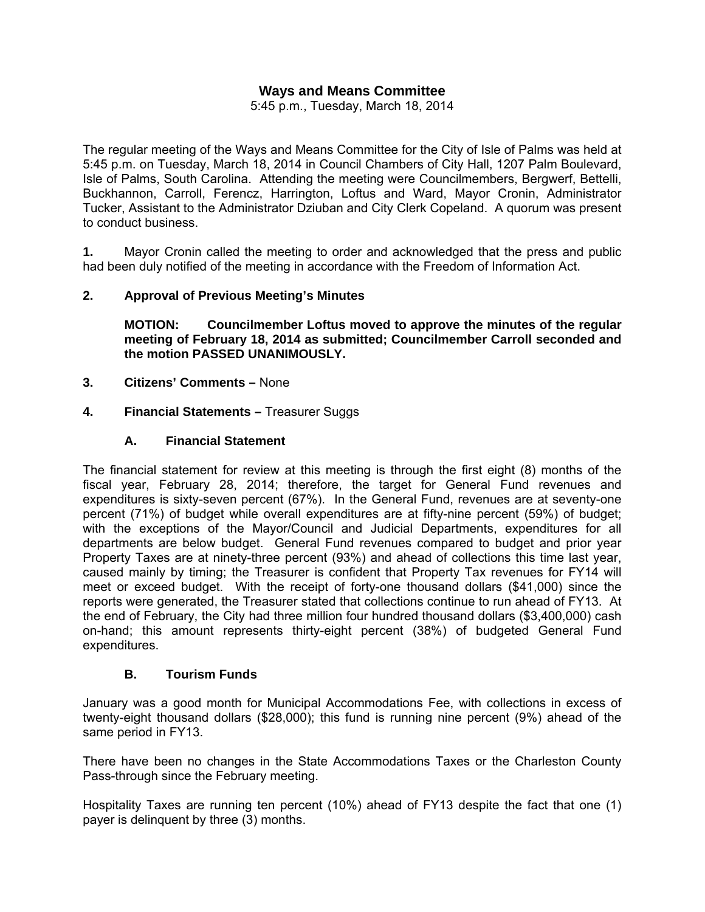# **Ways and Means Committee**

5:45 p.m., Tuesday, March 18, 2014

The regular meeting of the Ways and Means Committee for the City of Isle of Palms was held at 5:45 p.m. on Tuesday, March 18, 2014 in Council Chambers of City Hall, 1207 Palm Boulevard, Isle of Palms, South Carolina. Attending the meeting were Councilmembers, Bergwerf, Bettelli, Buckhannon, Carroll, Ferencz, Harrington, Loftus and Ward, Mayor Cronin, Administrator Tucker, Assistant to the Administrator Dziuban and City Clerk Copeland. A quorum was present to conduct business.

**1.** Mayor Cronin called the meeting to order and acknowledged that the press and public had been duly notified of the meeting in accordance with the Freedom of Information Act.

### **2. Approval of Previous Meeting's Minutes**

 **MOTION: Councilmember Loftus moved to approve the minutes of the regular meeting of February 18, 2014 as submitted; Councilmember Carroll seconded and the motion PASSED UNANIMOUSLY.** 

- **3. Citizens' Comments** None
- **4. Financial Statements** Treasurer Suggs

### **A. Financial Statement**

The financial statement for review at this meeting is through the first eight (8) months of the fiscal year, February 28, 2014; therefore, the target for General Fund revenues and expenditures is sixty-seven percent (67%). In the General Fund, revenues are at seventy-one percent (71%) of budget while overall expenditures are at fifty-nine percent (59%) of budget; with the exceptions of the Mayor/Council and Judicial Departments, expenditures for all departments are below budget. General Fund revenues compared to budget and prior year Property Taxes are at ninety-three percent (93%) and ahead of collections this time last year, caused mainly by timing; the Treasurer is confident that Property Tax revenues for FY14 will meet or exceed budget. With the receipt of forty-one thousand dollars (\$41,000) since the reports were generated, the Treasurer stated that collections continue to run ahead of FY13. At the end of February, the City had three million four hundred thousand dollars (\$3,400,000) cash on-hand; this amount represents thirty-eight percent (38%) of budgeted General Fund expenditures.

#### **B. Tourism Funds**

January was a good month for Municipal Accommodations Fee, with collections in excess of twenty-eight thousand dollars (\$28,000); this fund is running nine percent (9%) ahead of the same period in FY13.

There have been no changes in the State Accommodations Taxes or the Charleston County Pass-through since the February meeting.

Hospitality Taxes are running ten percent (10%) ahead of FY13 despite the fact that one (1) payer is delinquent by three (3) months.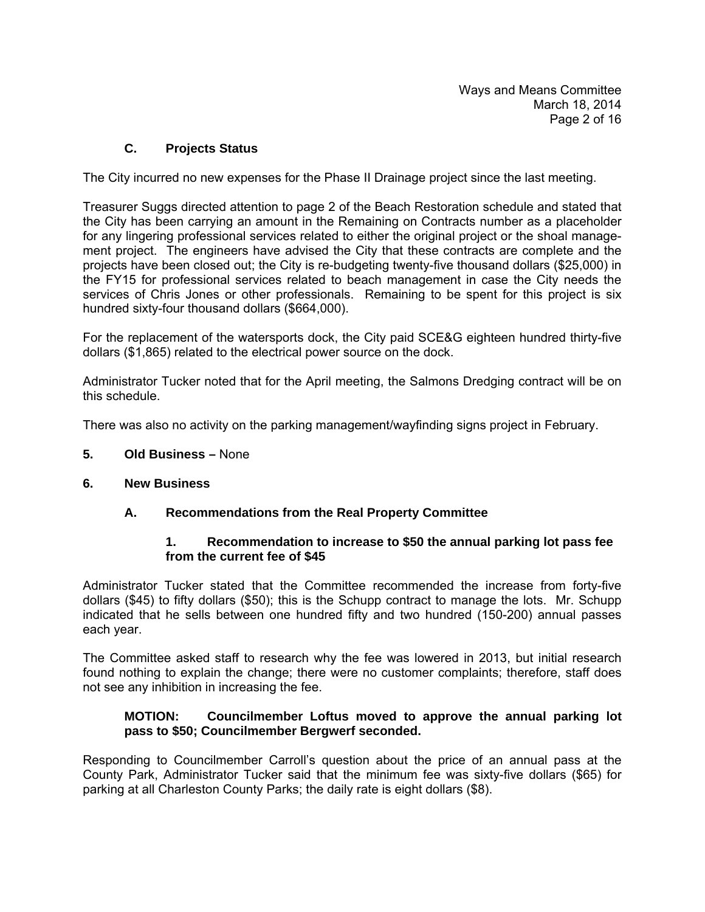## **C. Projects Status**

The City incurred no new expenses for the Phase II Drainage project since the last meeting.

Treasurer Suggs directed attention to page 2 of the Beach Restoration schedule and stated that the City has been carrying an amount in the Remaining on Contracts number as a placeholder for any lingering professional services related to either the original project or the shoal management project. The engineers have advised the City that these contracts are complete and the projects have been closed out; the City is re-budgeting twenty-five thousand dollars (\$25,000) in the FY15 for professional services related to beach management in case the City needs the services of Chris Jones or other professionals. Remaining to be spent for this project is six hundred sixty-four thousand dollars (\$664,000).

For the replacement of the watersports dock, the City paid SCE&G eighteen hundred thirty-five dollars (\$1,865) related to the electrical power source on the dock.

Administrator Tucker noted that for the April meeting, the Salmons Dredging contract will be on this schedule.

There was also no activity on the parking management/wayfinding signs project in February.

- **5. Old Business** None
- **6. New Business**

## **A. Recommendations from the Real Property Committee**

### **1. Recommendation to increase to \$50 the annual parking lot pass fee from the current fee of \$45**

Administrator Tucker stated that the Committee recommended the increase from forty-five dollars (\$45) to fifty dollars (\$50); this is the Schupp contract to manage the lots. Mr. Schupp indicated that he sells between one hundred fifty and two hundred (150-200) annual passes each year.

The Committee asked staff to research why the fee was lowered in 2013, but initial research found nothing to explain the change; there were no customer complaints; therefore, staff does not see any inhibition in increasing the fee.

### **MOTION: Councilmember Loftus moved to approve the annual parking lot pass to \$50; Councilmember Bergwerf seconded.**

Responding to Councilmember Carroll's question about the price of an annual pass at the County Park, Administrator Tucker said that the minimum fee was sixty-five dollars (\$65) for parking at all Charleston County Parks; the daily rate is eight dollars (\$8).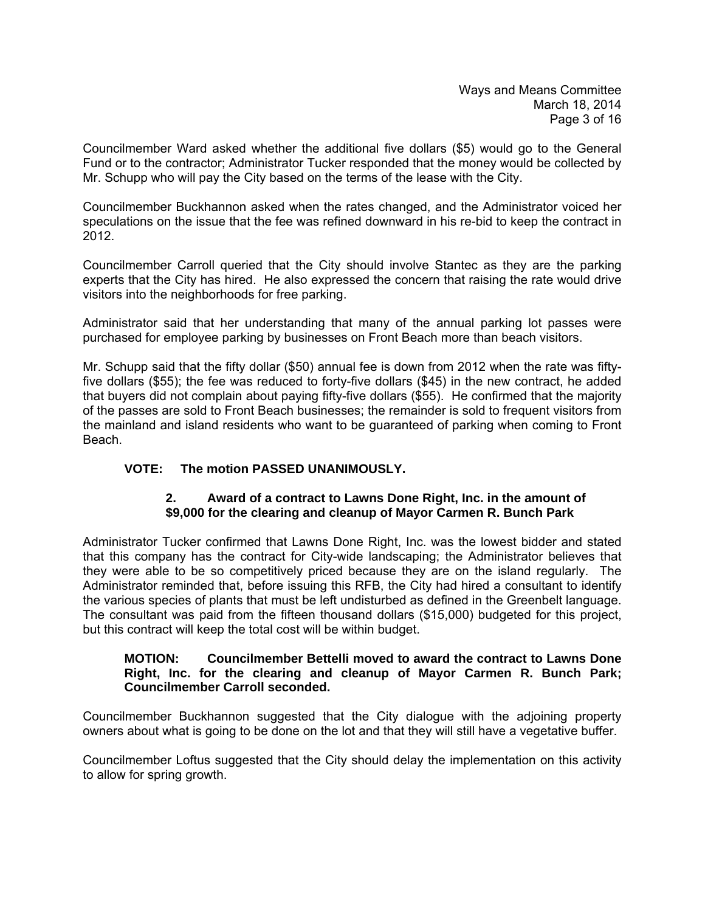Councilmember Ward asked whether the additional five dollars (\$5) would go to the General Fund or to the contractor; Administrator Tucker responded that the money would be collected by Mr. Schupp who will pay the City based on the terms of the lease with the City.

Councilmember Buckhannon asked when the rates changed, and the Administrator voiced her speculations on the issue that the fee was refined downward in his re-bid to keep the contract in 2012.

Councilmember Carroll queried that the City should involve Stantec as they are the parking experts that the City has hired. He also expressed the concern that raising the rate would drive visitors into the neighborhoods for free parking.

Administrator said that her understanding that many of the annual parking lot passes were purchased for employee parking by businesses on Front Beach more than beach visitors.

Mr. Schupp said that the fifty dollar (\$50) annual fee is down from 2012 when the rate was fiftyfive dollars (\$55); the fee was reduced to forty-five dollars (\$45) in the new contract, he added that buyers did not complain about paying fifty-five dollars (\$55). He confirmed that the majority of the passes are sold to Front Beach businesses; the remainder is sold to frequent visitors from the mainland and island residents who want to be guaranteed of parking when coming to Front Beach.

# **VOTE: The motion PASSED UNANIMOUSLY.**

## **2. Award of a contract to Lawns Done Right, Inc. in the amount of \$9,000 for the clearing and cleanup of Mayor Carmen R. Bunch Park**

Administrator Tucker confirmed that Lawns Done Right, Inc. was the lowest bidder and stated that this company has the contract for City-wide landscaping; the Administrator believes that they were able to be so competitively priced because they are on the island regularly. The Administrator reminded that, before issuing this RFB, the City had hired a consultant to identify the various species of plants that must be left undisturbed as defined in the Greenbelt language. The consultant was paid from the fifteen thousand dollars (\$15,000) budgeted for this project, but this contract will keep the total cost will be within budget.

### **MOTION: Councilmember Bettelli moved to award the contract to Lawns Done Right, Inc. for the clearing and cleanup of Mayor Carmen R. Bunch Park; Councilmember Carroll seconded.**

Councilmember Buckhannon suggested that the City dialogue with the adjoining property owners about what is going to be done on the lot and that they will still have a vegetative buffer.

Councilmember Loftus suggested that the City should delay the implementation on this activity to allow for spring growth.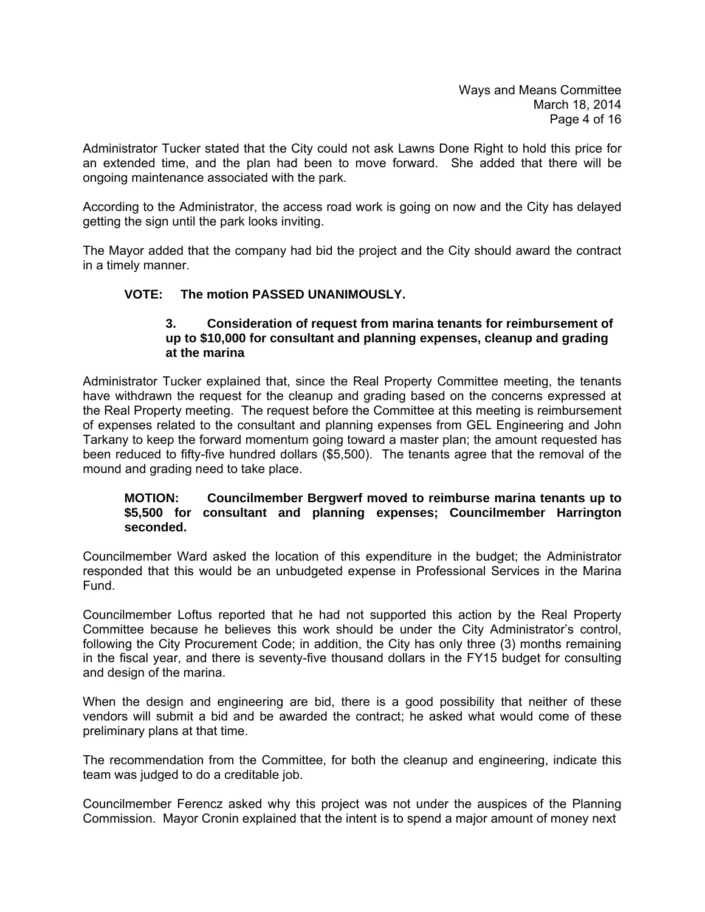Administrator Tucker stated that the City could not ask Lawns Done Right to hold this price for an extended time, and the plan had been to move forward. She added that there will be ongoing maintenance associated with the park.

According to the Administrator, the access road work is going on now and the City has delayed getting the sign until the park looks inviting.

The Mayor added that the company had bid the project and the City should award the contract in a timely manner.

## **VOTE: The motion PASSED UNANIMOUSLY.**

#### **3. Consideration of request from marina tenants for reimbursement of up to \$10,000 for consultant and planning expenses, cleanup and grading at the marina**

Administrator Tucker explained that, since the Real Property Committee meeting, the tenants have withdrawn the request for the cleanup and grading based on the concerns expressed at the Real Property meeting. The request before the Committee at this meeting is reimbursement of expenses related to the consultant and planning expenses from GEL Engineering and John Tarkany to keep the forward momentum going toward a master plan; the amount requested has been reduced to fifty-five hundred dollars (\$5,500). The tenants agree that the removal of the mound and grading need to take place.

#### **MOTION: Councilmember Bergwerf moved to reimburse marina tenants up to \$5,500 for consultant and planning expenses; Councilmember Harrington seconded.**

Councilmember Ward asked the location of this expenditure in the budget; the Administrator responded that this would be an unbudgeted expense in Professional Services in the Marina Fund.

Councilmember Loftus reported that he had not supported this action by the Real Property Committee because he believes this work should be under the City Administrator's control, following the City Procurement Code; in addition, the City has only three (3) months remaining in the fiscal year, and there is seventy-five thousand dollars in the FY15 budget for consulting and design of the marina.

When the design and engineering are bid, there is a good possibility that neither of these vendors will submit a bid and be awarded the contract; he asked what would come of these preliminary plans at that time.

The recommendation from the Committee, for both the cleanup and engineering, indicate this team was judged to do a creditable job.

Councilmember Ferencz asked why this project was not under the auspices of the Planning Commission. Mayor Cronin explained that the intent is to spend a major amount of money next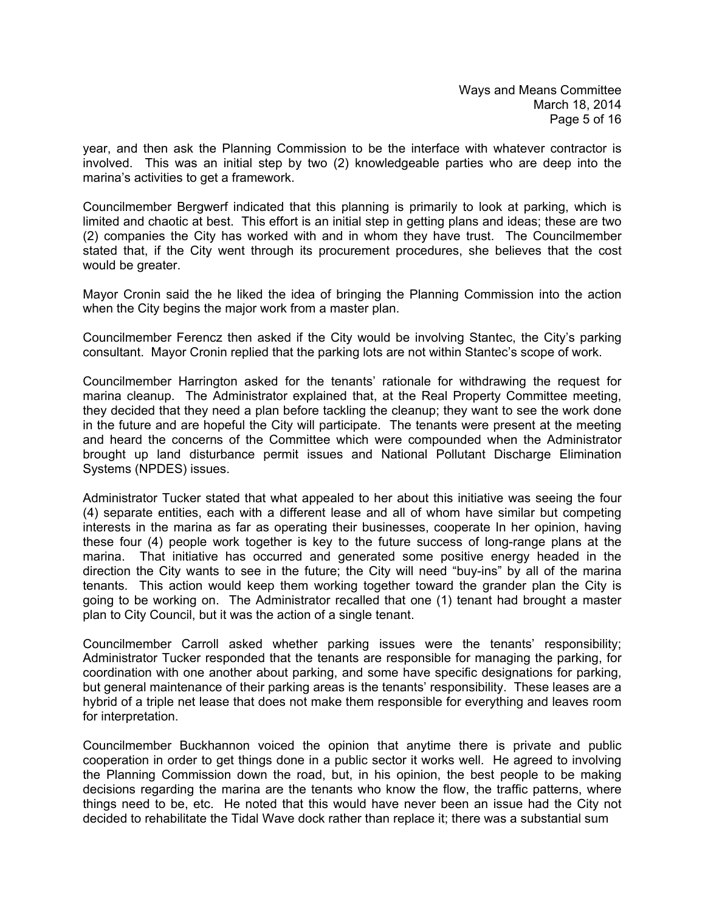year, and then ask the Planning Commission to be the interface with whatever contractor is involved. This was an initial step by two (2) knowledgeable parties who are deep into the marina's activities to get a framework.

Councilmember Bergwerf indicated that this planning is primarily to look at parking, which is limited and chaotic at best. This effort is an initial step in getting plans and ideas; these are two (2) companies the City has worked with and in whom they have trust. The Councilmember stated that, if the City went through its procurement procedures, she believes that the cost would be greater.

Mayor Cronin said the he liked the idea of bringing the Planning Commission into the action when the City begins the major work from a master plan.

Councilmember Ferencz then asked if the City would be involving Stantec, the City's parking consultant. Mayor Cronin replied that the parking lots are not within Stantec's scope of work.

Councilmember Harrington asked for the tenants' rationale for withdrawing the request for marina cleanup. The Administrator explained that, at the Real Property Committee meeting, they decided that they need a plan before tackling the cleanup; they want to see the work done in the future and are hopeful the City will participate. The tenants were present at the meeting and heard the concerns of the Committee which were compounded when the Administrator brought up land disturbance permit issues and National Pollutant Discharge Elimination Systems (NPDES) issues.

Administrator Tucker stated that what appealed to her about this initiative was seeing the four (4) separate entities, each with a different lease and all of whom have similar but competing interests in the marina as far as operating their businesses, cooperate In her opinion, having these four (4) people work together is key to the future success of long-range plans at the marina. That initiative has occurred and generated some positive energy headed in the direction the City wants to see in the future; the City will need "buy-ins" by all of the marina tenants. This action would keep them working together toward the grander plan the City is going to be working on. The Administrator recalled that one (1) tenant had brought a master plan to City Council, but it was the action of a single tenant.

Councilmember Carroll asked whether parking issues were the tenants' responsibility; Administrator Tucker responded that the tenants are responsible for managing the parking, for coordination with one another about parking, and some have specific designations for parking, but general maintenance of their parking areas is the tenants' responsibility. These leases are a hybrid of a triple net lease that does not make them responsible for everything and leaves room for interpretation.

Councilmember Buckhannon voiced the opinion that anytime there is private and public cooperation in order to get things done in a public sector it works well. He agreed to involving the Planning Commission down the road, but, in his opinion, the best people to be making decisions regarding the marina are the tenants who know the flow, the traffic patterns, where things need to be, etc. He noted that this would have never been an issue had the City not decided to rehabilitate the Tidal Wave dock rather than replace it; there was a substantial sum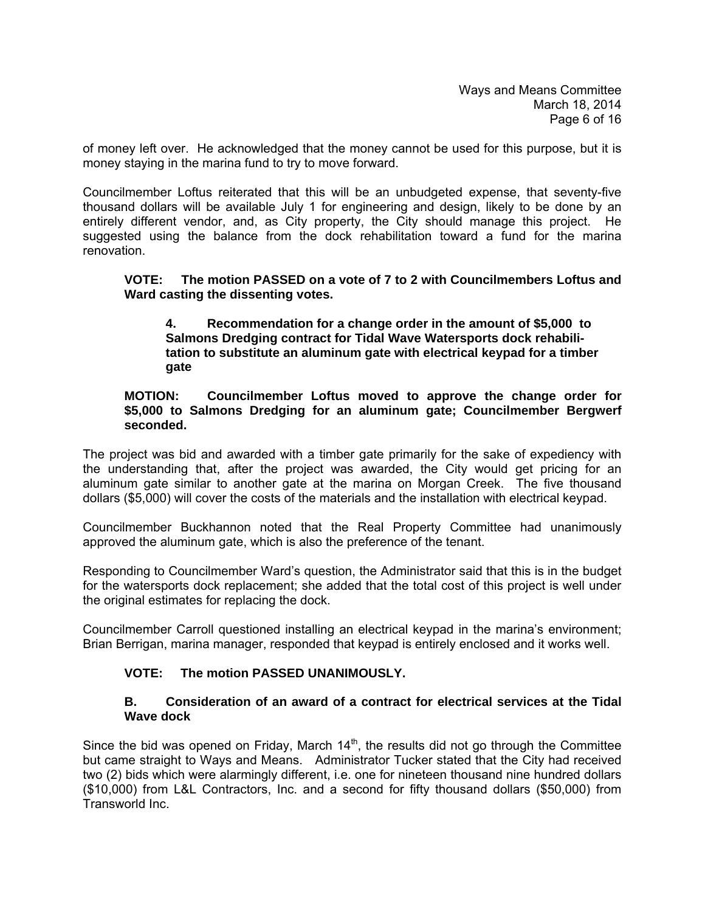of money left over. He acknowledged that the money cannot be used for this purpose, but it is money staying in the marina fund to try to move forward.

Councilmember Loftus reiterated that this will be an unbudgeted expense, that seventy-five thousand dollars will be available July 1 for engineering and design, likely to be done by an entirely different vendor, and, as City property, the City should manage this project. He suggested using the balance from the dock rehabilitation toward a fund for the marina renovation.

#### **VOTE: The motion PASSED on a vote of 7 to 2 with Councilmembers Loftus and Ward casting the dissenting votes.**

#### **4. Recommendation for a change order in the amount of \$5,000 to Salmons Dredging contract for Tidal Wave Watersports dock rehabili tation to substitute an aluminum gate with electrical keypad for a timber gate**

### **MOTION: Councilmember Loftus moved to approve the change order for \$5,000 to Salmons Dredging for an aluminum gate; Councilmember Bergwerf seconded.**

The project was bid and awarded with a timber gate primarily for the sake of expediency with the understanding that, after the project was awarded, the City would get pricing for an aluminum gate similar to another gate at the marina on Morgan Creek. The five thousand dollars (\$5,000) will cover the costs of the materials and the installation with electrical keypad.

Councilmember Buckhannon noted that the Real Property Committee had unanimously approved the aluminum gate, which is also the preference of the tenant.

Responding to Councilmember Ward's question, the Administrator said that this is in the budget for the watersports dock replacement; she added that the total cost of this project is well under the original estimates for replacing the dock.

Councilmember Carroll questioned installing an electrical keypad in the marina's environment; Brian Berrigan, marina manager, responded that keypad is entirely enclosed and it works well.

## **VOTE: The motion PASSED UNANIMOUSLY.**

### **B. Consideration of an award of a contract for electrical services at the Tidal Wave dock**

Since the bid was opened on Friday, March  $14<sup>th</sup>$ , the results did not go through the Committee but came straight to Ways and Means. Administrator Tucker stated that the City had received two (2) bids which were alarmingly different, i.e. one for nineteen thousand nine hundred dollars (\$10,000) from L&L Contractors, Inc. and a second for fifty thousand dollars (\$50,000) from Transworld Inc.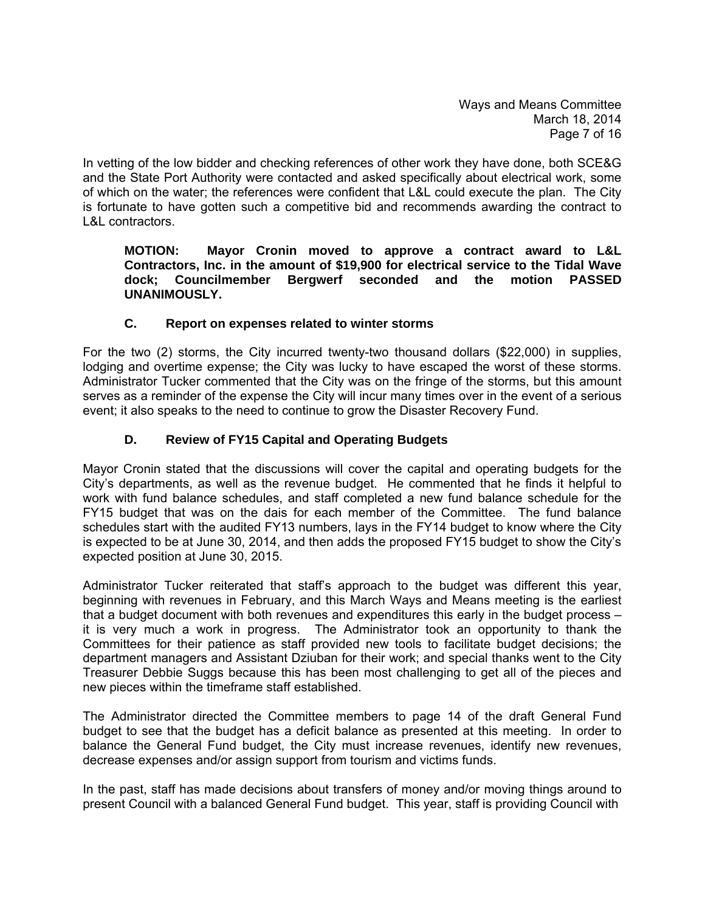Ways and Means Committee March 18, 2014 Page 7 of 16

In vetting of the low bidder and checking references of other work they have done, both SCE&G and the State Port Authority were contacted and asked specifically about electrical work, some of which on the water; the references were confident that L&L could execute the plan. The City is fortunate to have gotten such a competitive bid and recommends awarding the contract to L&L contractors.

### **MOTION: Mayor Cronin moved to approve a contract award to L&L Contractors, Inc. in the amount of \$19,900 for electrical service to the Tidal Wave dock; Councilmember Bergwerf seconded and the motion PASSED UNANIMOUSLY.**

# **C. Report on expenses related to winter storms**

For the two (2) storms, the City incurred twenty-two thousand dollars (\$22,000) in supplies, lodging and overtime expense; the City was lucky to have escaped the worst of these storms. Administrator Tucker commented that the City was on the fringe of the storms, but this amount serves as a reminder of the expense the City will incur many times over in the event of a serious event; it also speaks to the need to continue to grow the Disaster Recovery Fund.

# **D. Review of FY15 Capital and Operating Budgets**

Mayor Cronin stated that the discussions will cover the capital and operating budgets for the City's departments, as well as the revenue budget. He commented that he finds it helpful to work with fund balance schedules, and staff completed a new fund balance schedule for the FY15 budget that was on the dais for each member of the Committee. The fund balance schedules start with the audited FY13 numbers, lays in the FY14 budget to know where the City is expected to be at June 30, 2014, and then adds the proposed FY15 budget to show the City's expected position at June 30, 2015.

Administrator Tucker reiterated that staff's approach to the budget was different this year, beginning with revenues in February, and this March Ways and Means meeting is the earliest that a budget document with both revenues and expenditures this early in the budget process – it is very much a work in progress. The Administrator took an opportunity to thank the Committees for their patience as staff provided new tools to facilitate budget decisions; the department managers and Assistant Dziuban for their work; and special thanks went to the City Treasurer Debbie Suggs because this has been most challenging to get all of the pieces and new pieces within the timeframe staff established.

The Administrator directed the Committee members to page 14 of the draft General Fund budget to see that the budget has a deficit balance as presented at this meeting. In order to balance the General Fund budget, the City must increase revenues, identify new revenues, decrease expenses and/or assign support from tourism and victims funds.

In the past, staff has made decisions about transfers of money and/or moving things around to present Council with a balanced General Fund budget. This year, staff is providing Council with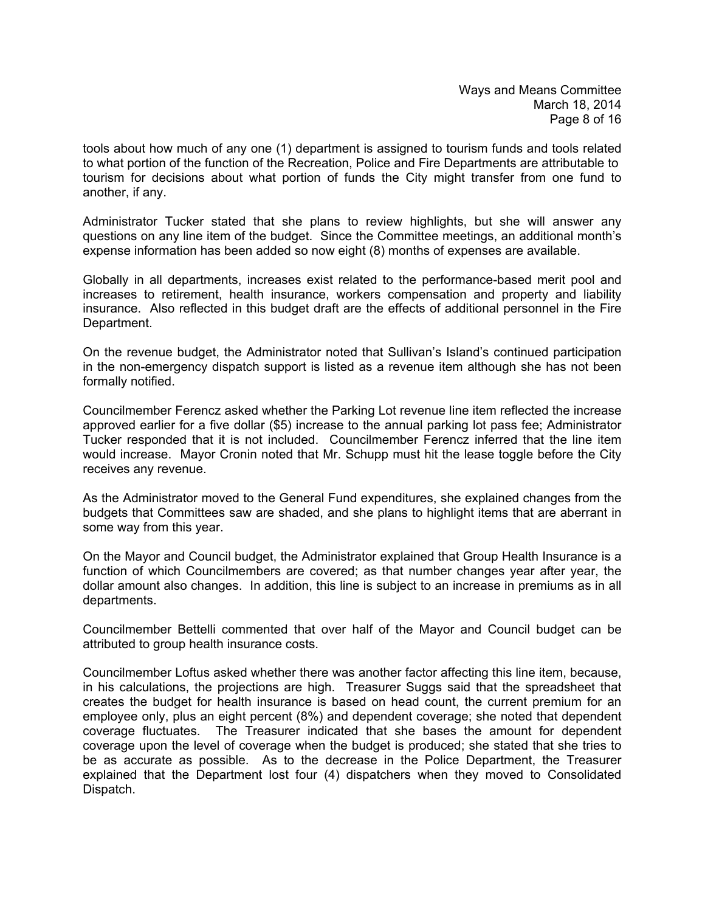tools about how much of any one (1) department is assigned to tourism funds and tools related to what portion of the function of the Recreation, Police and Fire Departments are attributable to tourism for decisions about what portion of funds the City might transfer from one fund to another, if any.

Administrator Tucker stated that she plans to review highlights, but she will answer any questions on any line item of the budget. Since the Committee meetings, an additional month's expense information has been added so now eight (8) months of expenses are available.

Globally in all departments, increases exist related to the performance-based merit pool and increases to retirement, health insurance, workers compensation and property and liability insurance. Also reflected in this budget draft are the effects of additional personnel in the Fire Department.

On the revenue budget, the Administrator noted that Sullivan's Island's continued participation in the non-emergency dispatch support is listed as a revenue item although she has not been formally notified.

Councilmember Ferencz asked whether the Parking Lot revenue line item reflected the increase approved earlier for a five dollar (\$5) increase to the annual parking lot pass fee; Administrator Tucker responded that it is not included. Councilmember Ferencz inferred that the line item would increase. Mayor Cronin noted that Mr. Schupp must hit the lease toggle before the City receives any revenue.

As the Administrator moved to the General Fund expenditures, she explained changes from the budgets that Committees saw are shaded, and she plans to highlight items that are aberrant in some way from this year.

On the Mayor and Council budget, the Administrator explained that Group Health Insurance is a function of which Councilmembers are covered; as that number changes year after year, the dollar amount also changes. In addition, this line is subject to an increase in premiums as in all departments.

Councilmember Bettelli commented that over half of the Mayor and Council budget can be attributed to group health insurance costs.

Councilmember Loftus asked whether there was another factor affecting this line item, because, in his calculations, the projections are high. Treasurer Suggs said that the spreadsheet that creates the budget for health insurance is based on head count, the current premium for an employee only, plus an eight percent (8%) and dependent coverage; she noted that dependent coverage fluctuates. The Treasurer indicated that she bases the amount for dependent coverage upon the level of coverage when the budget is produced; she stated that she tries to be as accurate as possible. As to the decrease in the Police Department, the Treasurer explained that the Department lost four (4) dispatchers when they moved to Consolidated Dispatch.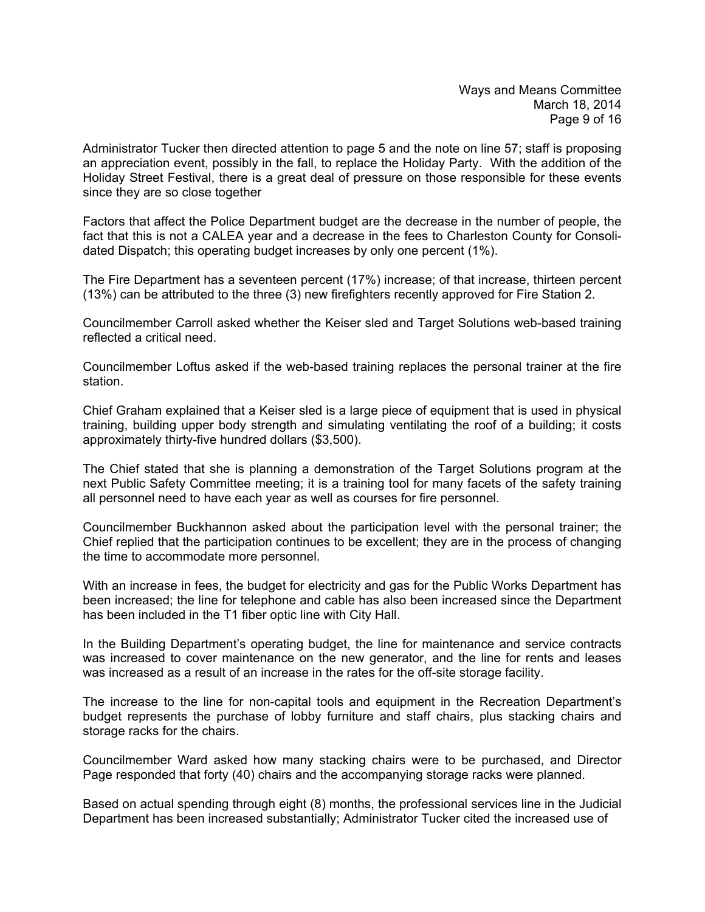Administrator Tucker then directed attention to page 5 and the note on line 57; staff is proposing an appreciation event, possibly in the fall, to replace the Holiday Party. With the addition of the Holiday Street Festival, there is a great deal of pressure on those responsible for these events since they are so close together

Factors that affect the Police Department budget are the decrease in the number of people, the fact that this is not a CALEA year and a decrease in the fees to Charleston County for Consolidated Dispatch; this operating budget increases by only one percent (1%).

The Fire Department has a seventeen percent (17%) increase; of that increase, thirteen percent (13%) can be attributed to the three (3) new firefighters recently approved for Fire Station 2.

Councilmember Carroll asked whether the Keiser sled and Target Solutions web-based training reflected a critical need.

Councilmember Loftus asked if the web-based training replaces the personal trainer at the fire station.

Chief Graham explained that a Keiser sled is a large piece of equipment that is used in physical training, building upper body strength and simulating ventilating the roof of a building; it costs approximately thirty-five hundred dollars (\$3,500).

The Chief stated that she is planning a demonstration of the Target Solutions program at the next Public Safety Committee meeting; it is a training tool for many facets of the safety training all personnel need to have each year as well as courses for fire personnel.

Councilmember Buckhannon asked about the participation level with the personal trainer; the Chief replied that the participation continues to be excellent; they are in the process of changing the time to accommodate more personnel.

With an increase in fees, the budget for electricity and gas for the Public Works Department has been increased; the line for telephone and cable has also been increased since the Department has been included in the T1 fiber optic line with City Hall.

In the Building Department's operating budget, the line for maintenance and service contracts was increased to cover maintenance on the new generator, and the line for rents and leases was increased as a result of an increase in the rates for the off-site storage facility.

The increase to the line for non-capital tools and equipment in the Recreation Department's budget represents the purchase of lobby furniture and staff chairs, plus stacking chairs and storage racks for the chairs.

Councilmember Ward asked how many stacking chairs were to be purchased, and Director Page responded that forty (40) chairs and the accompanying storage racks were planned.

Based on actual spending through eight (8) months, the professional services line in the Judicial Department has been increased substantially; Administrator Tucker cited the increased use of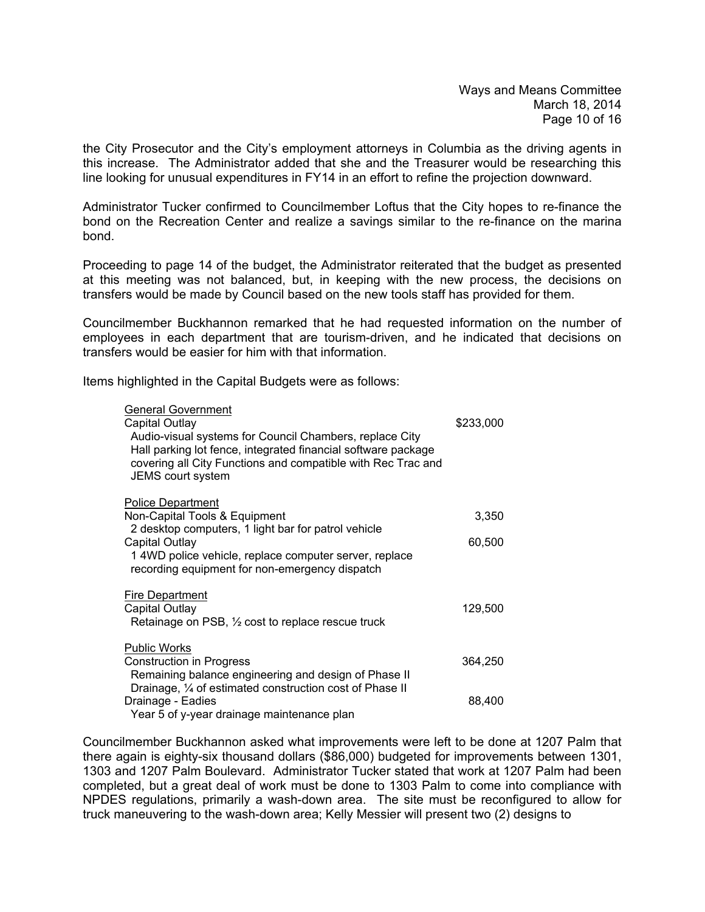the City Prosecutor and the City's employment attorneys in Columbia as the driving agents in this increase. The Administrator added that she and the Treasurer would be researching this line looking for unusual expenditures in FY14 in an effort to refine the projection downward.

Administrator Tucker confirmed to Councilmember Loftus that the City hopes to re-finance the bond on the Recreation Center and realize a savings similar to the re-finance on the marina bond.

Proceeding to page 14 of the budget, the Administrator reiterated that the budget as presented at this meeting was not balanced, but, in keeping with the new process, the decisions on transfers would be made by Council based on the new tools staff has provided for them.

Councilmember Buckhannon remarked that he had requested information on the number of employees in each department that are tourism-driven, and he indicated that decisions on transfers would be easier for him with that information.

Items highlighted in the Capital Budgets were as follows:

| <b>General Government</b><br>Capital Outlay<br>Audio-visual systems for Council Chambers, replace City<br>Hall parking lot fence, integrated financial software package<br>covering all City Functions and compatible with Rec Trac and<br>JEMS court system | \$233,000       |
|--------------------------------------------------------------------------------------------------------------------------------------------------------------------------------------------------------------------------------------------------------------|-----------------|
| <b>Police Department</b><br>Non-Capital Tools & Equipment<br>2 desktop computers, 1 light bar for patrol vehicle<br>Capital Outlay<br>1 4WD police vehicle, replace computer server, replace<br>recording equipment for non-emergency dispatch               | 3,350<br>60,500 |
| Fire Department<br>Capital Outlay<br>Retainage on PSB, $\frac{1}{2}$ cost to replace rescue truck                                                                                                                                                            | 129,500         |
| <b>Public Works</b><br><b>Construction in Progress</b><br>Remaining balance engineering and design of Phase II                                                                                                                                               | 364,250         |
| Drainage, 1/4 of estimated construction cost of Phase II<br>Drainage - Eadies<br>Year 5 of y-year drainage maintenance plan                                                                                                                                  | 88,400          |

Councilmember Buckhannon asked what improvements were left to be done at 1207 Palm that there again is eighty-six thousand dollars (\$86,000) budgeted for improvements between 1301, 1303 and 1207 Palm Boulevard. Administrator Tucker stated that work at 1207 Palm had been completed, but a great deal of work must be done to 1303 Palm to come into compliance with NPDES regulations, primarily a wash-down area. The site must be reconfigured to allow for truck maneuvering to the wash-down area; Kelly Messier will present two (2) designs to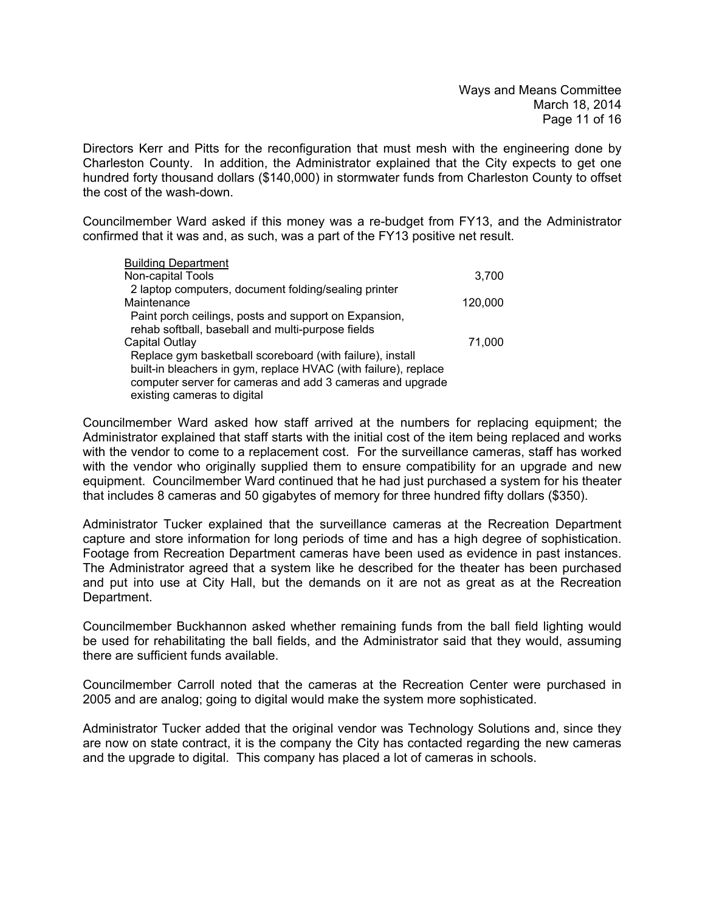Directors Kerr and Pitts for the reconfiguration that must mesh with the engineering done by Charleston County. In addition, the Administrator explained that the City expects to get one hundred forty thousand dollars (\$140,000) in stormwater funds from Charleston County to offset the cost of the wash-down.

Councilmember Ward asked if this money was a re-budget from FY13, and the Administrator confirmed that it was and, as such, was a part of the FY13 positive net result.

| <b>Building Department</b>                                      |         |
|-----------------------------------------------------------------|---------|
| Non-capital Tools                                               | 3,700   |
| 2 laptop computers, document folding/sealing printer            |         |
| Maintenance                                                     | 120,000 |
| Paint porch ceilings, posts and support on Expansion,           |         |
| rehab softball, baseball and multi-purpose fields               |         |
| Capital Outlay                                                  | 71,000  |
| Replace gym basketball scoreboard (with failure), install       |         |
| built-in bleachers in gym, replace HVAC (with failure), replace |         |
| computer server for cameras and add 3 cameras and upgrade       |         |
| existing cameras to digital                                     |         |

Councilmember Ward asked how staff arrived at the numbers for replacing equipment; the Administrator explained that staff starts with the initial cost of the item being replaced and works with the vendor to come to a replacement cost. For the surveillance cameras, staff has worked with the vendor who originally supplied them to ensure compatibility for an upgrade and new equipment. Councilmember Ward continued that he had just purchased a system for his theater that includes 8 cameras and 50 gigabytes of memory for three hundred fifty dollars (\$350).

Administrator Tucker explained that the surveillance cameras at the Recreation Department capture and store information for long periods of time and has a high degree of sophistication. Footage from Recreation Department cameras have been used as evidence in past instances. The Administrator agreed that a system like he described for the theater has been purchased and put into use at City Hall, but the demands on it are not as great as at the Recreation Department.

Councilmember Buckhannon asked whether remaining funds from the ball field lighting would be used for rehabilitating the ball fields, and the Administrator said that they would, assuming there are sufficient funds available.

Councilmember Carroll noted that the cameras at the Recreation Center were purchased in 2005 and are analog; going to digital would make the system more sophisticated.

Administrator Tucker added that the original vendor was Technology Solutions and, since they are now on state contract, it is the company the City has contacted regarding the new cameras and the upgrade to digital. This company has placed a lot of cameras in schools.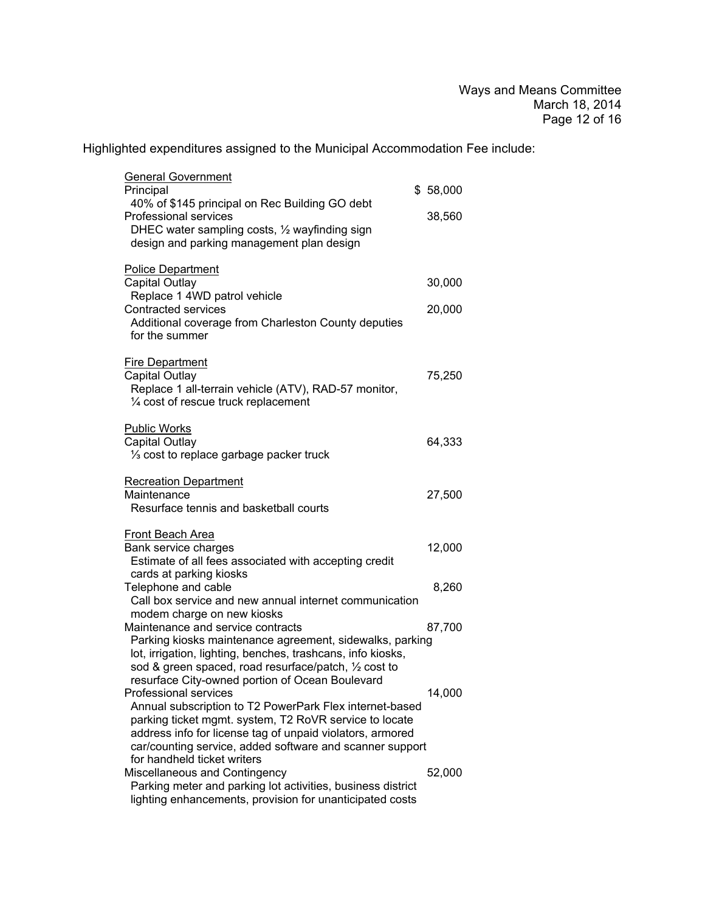Highlighted expenditures assigned to the Municipal Accommodation Fee include:

| <b>General Government</b><br>Principal                                                                                                                                                                                                                                                                    | \$58,000 |
|-----------------------------------------------------------------------------------------------------------------------------------------------------------------------------------------------------------------------------------------------------------------------------------------------------------|----------|
| 40% of \$145 principal on Rec Building GO debt<br>Professional services<br>DHEC water sampling costs, 1/2 wayfinding sign<br>design and parking management plan design                                                                                                                                    | 38,560   |
| <b>Police Department</b><br><b>Capital Outlay</b>                                                                                                                                                                                                                                                         | 30,000   |
| Replace 1 4WD patrol vehicle<br><b>Contracted services</b><br>Additional coverage from Charleston County deputies<br>for the summer                                                                                                                                                                       | 20,000   |
| <b>Fire Department</b><br>Capital Outlay<br>Replace 1 all-terrain vehicle (ATV), RAD-57 monitor,<br>1/4 cost of rescue truck replacement                                                                                                                                                                  | 75,250   |
| <b>Public Works</b><br>Capital Outlay<br>1/ <sub>3</sub> cost to replace garbage packer truck                                                                                                                                                                                                             | 64,333   |
| <b>Recreation Department</b><br>Maintenance<br>Resurface tennis and basketball courts                                                                                                                                                                                                                     | 27,500   |
| <b>Front Beach Area</b><br>Bank service charges<br>Estimate of all fees associated with accepting credit<br>cards at parking kiosks                                                                                                                                                                       | 12,000   |
| Telephone and cable<br>Call box service and new annual internet communication<br>modem charge on new kiosks                                                                                                                                                                                               | 8,260    |
| Maintenance and service contracts<br>Parking kiosks maintenance agreement, sidewalks, parking<br>lot, irrigation, lighting, benches, trashcans, info kiosks,<br>sod & green spaced, road resurface/patch, 1/2 cost to<br>resurface City-owned portion of Ocean Boulevard                                  | 87,700   |
| <b>Professional services</b><br>Annual subscription to T2 PowerPark Flex internet-based<br>parking ticket mgmt. system, T2 RoVR service to locate<br>address info for license tag of unpaid violators, armored<br>car/counting service, added software and scanner support<br>for handheld ticket writers | 14,000   |
| Miscellaneous and Contingency<br>Parking meter and parking lot activities, business district<br>lighting enhancements, provision for unanticipated costs                                                                                                                                                  | 52,000   |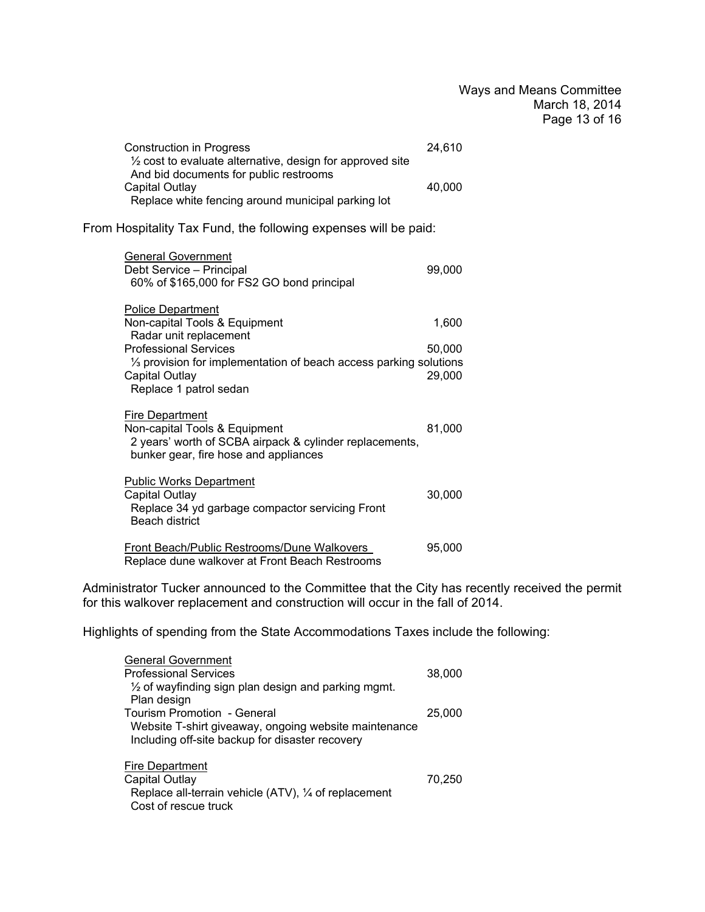| Construction in Progress                                             | 24.610 |
|----------------------------------------------------------------------|--------|
| $\frac{1}{2}$ cost to evaluate alternative, design for approved site |        |
| And bid documents for public restrooms                               |        |
| Capital Outlay                                                       | 40.000 |
| Replace white fencing around municipal parking lot                   |        |

From Hospitality Tax Fund, the following expenses will be paid:

| <b>General Government</b><br>Debt Service - Principal<br>60% of \$165,000 for FS2 GO bond principal                                                         | 99,000 |
|-------------------------------------------------------------------------------------------------------------------------------------------------------------|--------|
| <b>Police Department</b><br>Non-capital Tools & Equipment                                                                                                   | 1,600  |
| Radar unit replacement<br><b>Professional Services</b>                                                                                                      | 50,000 |
| $\frac{1}{3}$ provision for implementation of beach access parking solutions<br>Capital Outlay<br>Replace 1 patrol sedan                                    | 29,000 |
| <b>Fire Department</b><br>Non-capital Tools & Equipment<br>2 years' worth of SCBA airpack & cylinder replacements,<br>bunker gear, fire hose and appliances | 81,000 |
| <b>Public Works Department</b><br>Capital Outlay<br>Replace 34 yd garbage compactor servicing Front<br>Beach district                                       | 30,000 |
| Front Beach/Public Restrooms/Dune Walkovers<br>Replace dune walkover at Front Beach Restrooms                                                               | 95,000 |

Administrator Tucker announced to the Committee that the City has recently received the permit for this walkover replacement and construction will occur in the fall of 2014.

Highlights of spending from the State Accommodations Taxes include the following:

| <b>General Government</b>                                                                                |        |
|----------------------------------------------------------------------------------------------------------|--------|
| <b>Professional Services</b>                                                                             | 38,000 |
| $\frac{1}{2}$ of wayfinding sign plan design and parking mgmt.                                           |        |
| Plan design                                                                                              |        |
| Tourism Promotion - General                                                                              | 25,000 |
| Website T-shirt giveaway, ongoing website maintenance<br>Including off-site backup for disaster recovery |        |
| Fire Department                                                                                          |        |
| Capital Outlay                                                                                           | 70.250 |
| Replace all-terrain vehicle (ATV), 1/4 of replacement                                                    |        |
| Cost of rescue truck                                                                                     |        |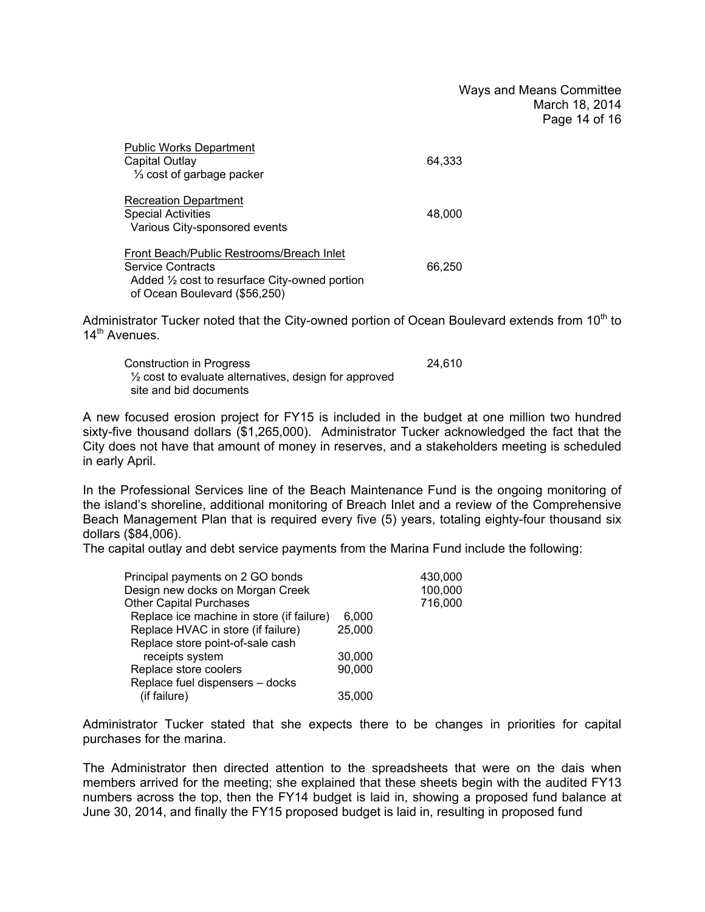Ways and Means Committee March 18, 2014 Page 14 of 16

| <b>Public Works Department</b><br>Capital Outlay<br>1/ <sub>3</sub> cost of garbage packer                                                                         | 64,333 |
|--------------------------------------------------------------------------------------------------------------------------------------------------------------------|--------|
| <b>Recreation Department</b><br><b>Special Activities</b><br>Various City-sponsored events                                                                         | 48,000 |
| Front Beach/Public Restrooms/Breach Inlet<br><b>Service Contracts</b><br>Added $\frac{1}{2}$ cost to resurface City-owned portion<br>of Ocean Boulevard (\$56,250) | 66,250 |

Administrator Tucker noted that the City-owned portion of Ocean Boulevard extends from 10<sup>th</sup> to 14<sup>th</sup> Avenues.

| Construction in Progress                                         | 24.610 |
|------------------------------------------------------------------|--------|
| $\frac{1}{2}$ cost to evaluate alternatives, design for approved |        |
| site and bid documents                                           |        |

A new focused erosion project for FY15 is included in the budget at one million two hundred sixty-five thousand dollars (\$1,265,000). Administrator Tucker acknowledged the fact that the City does not have that amount of money in reserves, and a stakeholders meeting is scheduled in early April.

In the Professional Services line of the Beach Maintenance Fund is the ongoing monitoring of the island's shoreline, additional monitoring of Breach Inlet and a review of the Comprehensive Beach Management Plan that is required every five (5) years, totaling eighty-four thousand six dollars (\$84,006).

The capital outlay and debt service payments from the Marina Fund include the following:

|                                           | 430,000 |
|-------------------------------------------|---------|
|                                           | 100,000 |
|                                           | 716,000 |
| 6,000                                     |         |
| 25,000                                    |         |
|                                           |         |
| 30,000                                    |         |
| 90,000                                    |         |
|                                           |         |
| 35,000                                    |         |
| Replace ice machine in store (if failure) |         |

Administrator Tucker stated that she expects there to be changes in priorities for capital purchases for the marina.

The Administrator then directed attention to the spreadsheets that were on the dais when members arrived for the meeting; she explained that these sheets begin with the audited FY13 numbers across the top, then the FY14 budget is laid in, showing a proposed fund balance at June 30, 2014, and finally the FY15 proposed budget is laid in, resulting in proposed fund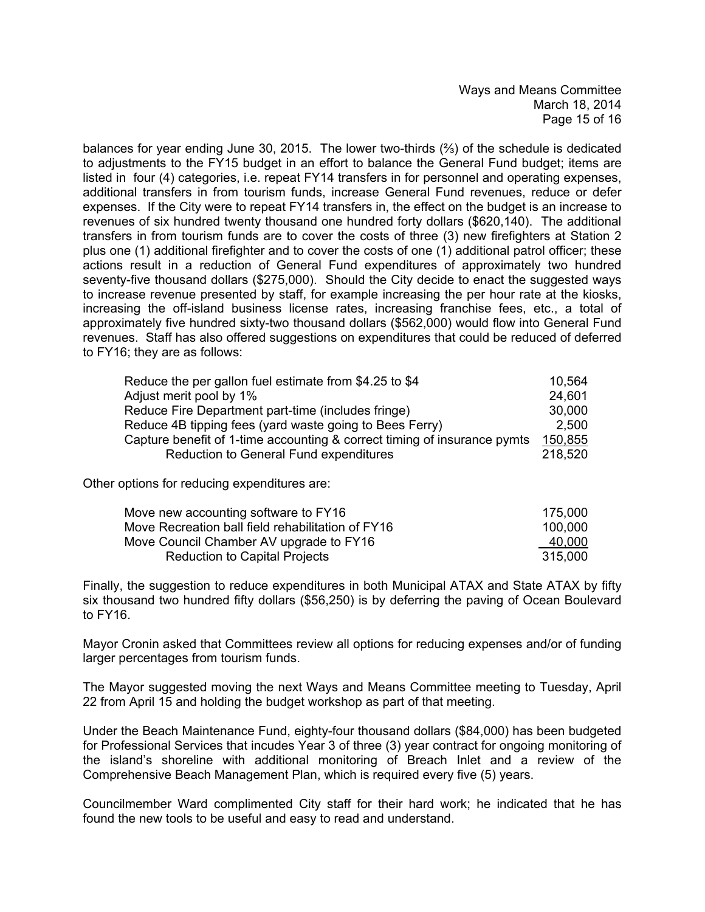balances for year ending June 30, 2015. The lower two-thirds (⅔) of the schedule is dedicated to adjustments to the FY15 budget in an effort to balance the General Fund budget; items are listed in four (4) categories, i.e. repeat FY14 transfers in for personnel and operating expenses, additional transfers in from tourism funds, increase General Fund revenues, reduce or defer expenses. If the City were to repeat FY14 transfers in, the effect on the budget is an increase to revenues of six hundred twenty thousand one hundred forty dollars (\$620,140). The additional transfers in from tourism funds are to cover the costs of three (3) new firefighters at Station 2 plus one (1) additional firefighter and to cover the costs of one (1) additional patrol officer; these actions result in a reduction of General Fund expenditures of approximately two hundred seventy-five thousand dollars (\$275,000). Should the City decide to enact the suggested ways to increase revenue presented by staff, for example increasing the per hour rate at the kiosks, increasing the off-island business license rates, increasing franchise fees, etc., a total of approximately five hundred sixty-two thousand dollars (\$562,000) would flow into General Fund revenues. Staff has also offered suggestions on expenditures that could be reduced of deferred to FY16; they are as follows:

| Reduce the per gallon fuel estimate from \$4.25 to \$4                   | 10,564  |
|--------------------------------------------------------------------------|---------|
| Adjust merit pool by 1%                                                  | 24,601  |
| Reduce Fire Department part-time (includes fringe)                       | 30,000  |
| Reduce 4B tipping fees (yard waste going to Bees Ferry)                  | 2,500   |
| Capture benefit of 1-time accounting & correct timing of insurance pymts | 150,855 |
| <b>Reduction to General Fund expenditures</b>                            | 218,520 |

Other options for reducing expenditures are:

| Move new accounting software to FY16              | 175.000 |
|---------------------------------------------------|---------|
| Move Recreation ball field rehabilitation of FY16 | 100.000 |
| Move Council Chamber AV upgrade to FY16           | 40,000  |
| <b>Reduction to Capital Projects</b>              | 315,000 |

Finally, the suggestion to reduce expenditures in both Municipal ATAX and State ATAX by fifty six thousand two hundred fifty dollars (\$56,250) is by deferring the paving of Ocean Boulevard to FY16.

Mayor Cronin asked that Committees review all options for reducing expenses and/or of funding larger percentages from tourism funds.

The Mayor suggested moving the next Ways and Means Committee meeting to Tuesday, April 22 from April 15 and holding the budget workshop as part of that meeting.

Under the Beach Maintenance Fund, eighty-four thousand dollars (\$84,000) has been budgeted for Professional Services that incudes Year 3 of three (3) year contract for ongoing monitoring of the island's shoreline with additional monitoring of Breach Inlet and a review of the Comprehensive Beach Management Plan, which is required every five (5) years.

Councilmember Ward complimented City staff for their hard work; he indicated that he has found the new tools to be useful and easy to read and understand.